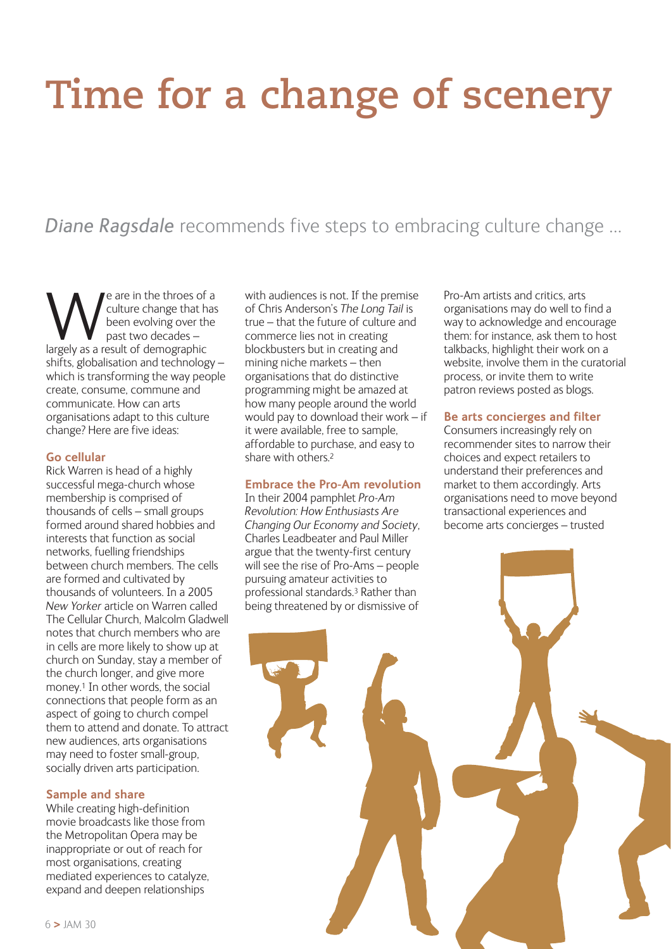# **Time for a change of scenery**

# *Diane Ragsdale* recommends five steps to embracing culture change …

We are in the throes of a<br>
culture change that has<br>
been evolving over the<br>
largely as a result of demographic culture change that has been evolving over the past two decades – shifts, globalisation and technology – which is transforming the way people create, consume, commune and communicate. How can arts organisations adapt to this culture change? Here are five ideas:

### **Go cellular**

Rick Warren is head of a highly successful mega-church whose membership is comprised of thousands of cells – small groups formed around shared hobbies and interests that function as social networks, fuelling friendships between church members. The cells are formed and cultivated by thousands of volunteers. In a 2005 *New Yorker* article on Warren called The Cellular Church, Malcolm Gladwell notes that church members who are in cells are more likely to show up at church on Sunday, stay a member of the church longer, and give more money.1 In other words, the social connections that people form as an aspect of going to church compel them to attend and donate. To attract new audiences, arts organisations may need to foster small-group, socially driven arts participation.

## **Sample and share**

While creating high-definition movie broadcasts like those from the Metropolitan Opera may be inappropriate or out of reach for most organisations, creating mediated experiences to catalyze, expand and deepen relationships

with audiences is not. If the premise of Chris Anderson's *The Long Tail* is true – that the future of culture and commerce lies not in creating blockbusters but in creating and mining niche markets – then organisations that do distinctive programming might be amazed at how many people around the world would pay to download their work – if it were available, free to sample, affordable to purchase, and easy to share with others.2

#### **Embrace the Pro-Am revolution**

In their 2004 pamphlet *Pro-Am Revolution: How Enthusiasts Are Changing Our Economy and Society*, Charles Leadbeater and Paul Miller argue that the twenty-first century will see the rise of Pro-Ams – people pursuing amateur activities to professional standards.3 Rather than being threatened by or dismissive of

Pro-Am artists and critics, arts organisations may do well to find a way to acknowledge and encourage them: for instance, ask them to host talkbacks, highlight their work on a website, involve them in the curatorial process, or invite them to write patron reviews posted as blogs.

# **Be arts concierges and filter**

Consumers increasingly rely on recommender sites to narrow their choices and expect retailers to understand their preferences and market to them accordingly. Arts organisations need to move beyond transactional experiences and become arts concierges – trusted